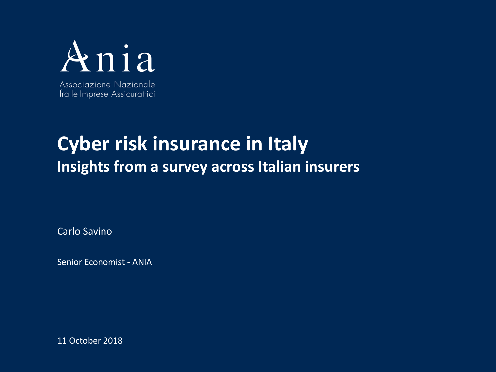

# **Cyber risk insurance in Italy Insights from a survey across Italian insurers**

Carlo Savino

Senior Economist - ANIA

11 October 2018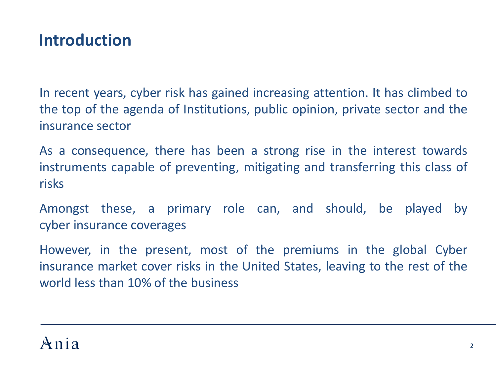### **Introduction**

In recent years, cyber risk has gained increasing attention. It has climbed to the top of the agenda of Institutions, public opinion, private sector and the insurance sector

As a consequence, there has been a strong rise in the interest towards instruments capable of preventing, mitigating and transferring this class of risks

Amongst these, a primary role can, and should, be played by cyber insurance coverages

However, in the present, most of the premiums in the global Cyber insurance market cover risks in the United States, leaving to the rest of the world less than 10% of the business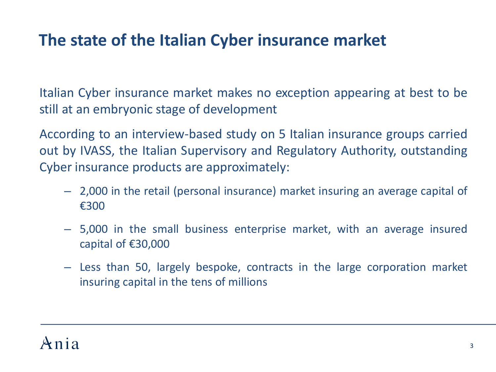## **The state of the Italian Cyber insurance market**

Italian Cyber insurance market makes no exception appearing at best to be still at an embryonic stage of development

According to an interview-based study on 5 Italian insurance groups carried out by IVASS, the Italian Supervisory and Regulatory Authority, outstanding Cyber insurance products are approximately:

- 2,000 in the retail (personal insurance) market insuring an average capital of €300
- 5,000 in the small business enterprise market, with an average insured capital of €30,000
- Less than 50, largely bespoke, contracts in the large corporation market insuring capital in the tens of millions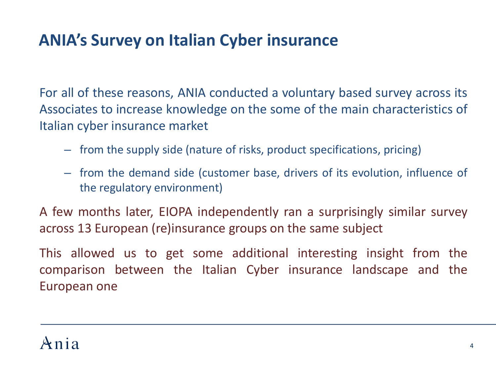### **ANIA's Survey on Italian Cyber insurance**

For all of these reasons, ANIA conducted a voluntary based survey across its Associates to increase knowledge on the some of the main characteristics of Italian cyber insurance market

- from the supply side (nature of risks, product specifications, pricing)
- from the demand side (customer base, drivers of its evolution, influence of the regulatory environment)

A few months later, EIOPA independently ran a surprisingly similar survey across 13 European (re)insurance groups on the same subject

This allowed us to get some additional interesting insight from the comparison between the Italian Cyber insurance landscape and the European one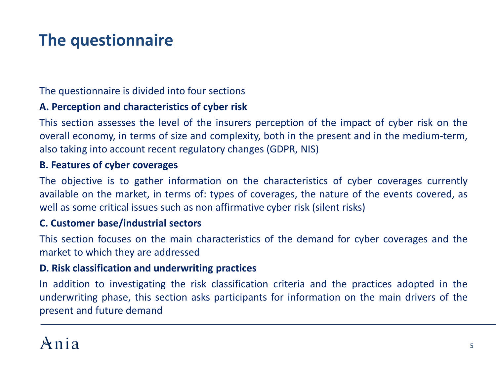# **The questionnaire**

The questionnaire is divided into four sections

### **A. Perception and characteristics of cyber risk**

This section assesses the level of the insurers perception of the impact of cyber risk on the overall economy, in terms of size and complexity, both in the present and in the medium-term, also taking into account recent regulatory changes (GDPR, NIS)

#### **B. Features of cyber coverages**

The objective is to gather information on the characteristics of cyber coverages currently available on the market, in terms of: types of coverages, the nature of the events covered, as well as some critical issues such as non affirmative cyber risk (silent risks)

#### **C. Customer base/industrial sectors**

This section focuses on the main characteristics of the demand for cyber coverages and the market to which they are addressed

#### **D. Risk classification and underwriting practices**

In addition to investigating the risk classification criteria and the practices adopted in the underwriting phase, this section asks participants for information on the main drivers of the present and future demand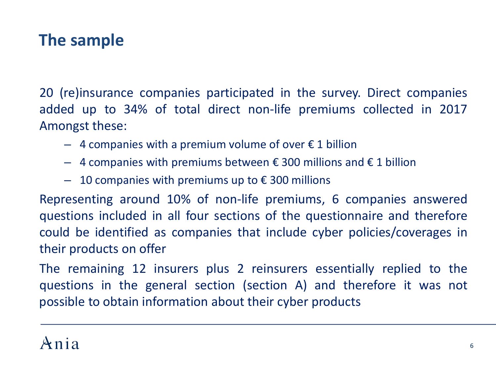### **The sample**

20 (re)insurance companies participated in the survey. Direct companies added up to 34% of total direct non-life premiums collected in 2017 Amongst these:

- $-4$  companies with a premium volume of over  $\epsilon$  1 billion
- $-$  4 companies with premiums between € 300 millions and € 1 billion
- $-$  10 companies with premiums up to € 300 millions

Representing around 10% of non-life premiums, 6 companies answered questions included in all four sections of the questionnaire and therefore could be identified as companies that include cyber policies/coverages in their products on offer

The remaining 12 insurers plus 2 reinsurers essentially replied to the questions in the general section (section A) and therefore it was not possible to obtain information about their cyber products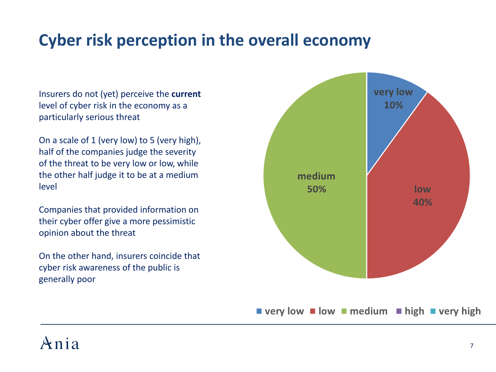## **Cyber risk perception in the overall economy**

Insurers do not (yet) perceive the **current**  level of cyber risk in the economy as a particularly serious threat

On a scale of 1 (very low) to 5 (very high), half of the companies judge the severity of the threat to be very low or low, while the other half judge it to be at a medium level

Companies that provided information on their cyber offer give a more pessimistic opinion about the threat

On the other hand, insurers coincide that cyber risk awareness of the public is generally poor



# $Ani$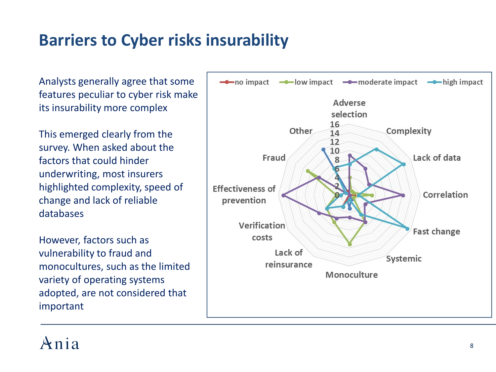### **Barriers to Cyber risks insurability**

Analysts generally agree that some features peculiar to cyber risk make its insurability more complex

This emerged clearly from the survey. When asked about the factors that could hinder underwriting, most insurers highlighted complexity, speed of change and lack of reliable databases

However, factors such as vulnerability to fraud and monocultures, such as the limited variety of operating systems adopted, are not considered that important

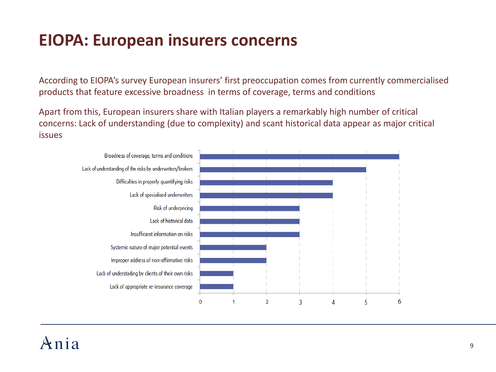# **EIOPA: European insurers concerns**

According to EIOPA's survey European insurers' first preoccupation comes from currently commercialised products that feature excessive broadness in terms of coverage, terms and conditions

Apart from this, European insurers share with Italian players a remarkably high number of critical concerns: Lack of understanding (due to complexity) and scant historical data appear as major critical issues



# $Ani a$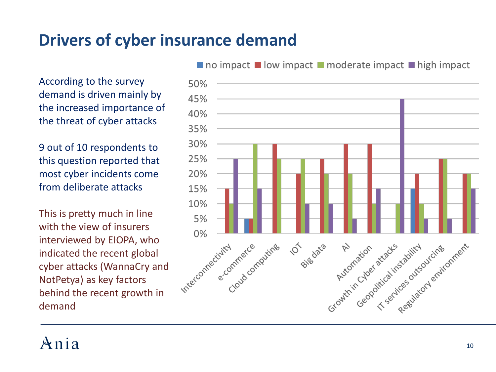### **Drivers of cyber insurance demand**

According to the survey demand is driven mainly by the increased importance of the threat of cyber attacks

9 out of 10 respondents to this question reported that most cyber incidents come from deliberate attacks

This is pretty much in line with the view of insurers interviewed by EIOPA, who indicated the recent global cyber attacks (WannaCry and NotPetya) as key factors behind the recent growth in demand



 $\blacksquare$  no impact  $\blacksquare$  low impact  $\blacksquare$  moderate impact  $\blacksquare$  high impact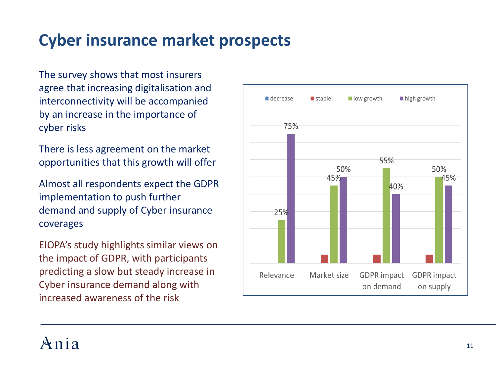# **Cyber insurance market prospects**

The survey shows that most insurers agree that increasing digitalisation and interconnectivity will be accompanied by an increase in the importance of cyber risks

There is less agreement on the market opportunities that this growth will offer

Almost all respondents expect the GDPR implementation to push further demand and supply of Cyber insurance coverages

EIOPA's study highlights similar views on the impact of GDPR, with participants predicting a slow but steady increase in Cyber insurance demand along with increased awareness of the risk

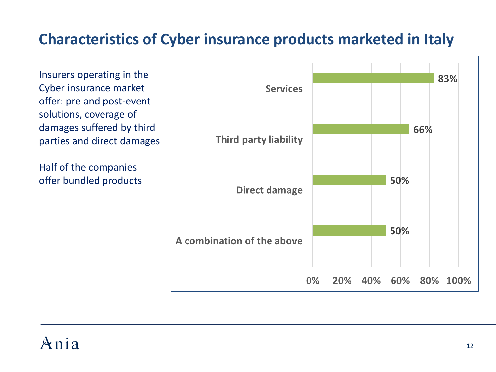### **Characteristics of Cyber insurance products marketed in Italy**

Insurers operating in the Cyber insurance market offer: pre and post-event solutions, coverage of damages suffered by third parties and direct damages

Half of the companies offer bundled products

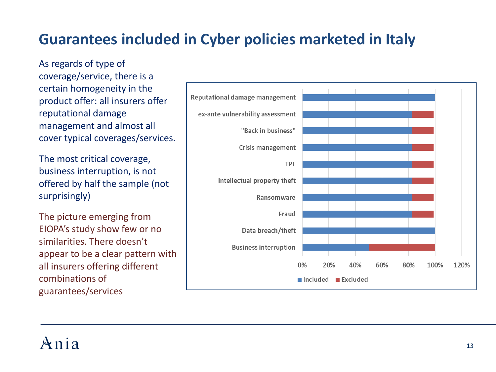### **Guarantees included in Cyber policies marketed in Italy**

As regards of type of coverage/service, there is a certain homogeneity in the product offer: all insurers offer reputational damage management and almost all cover typical coverages/services.

The most critical coverage, business interruption, is not offered by half the sample (not surprisingly)

The picture emerging from EIOPA's study show few or no similarities. There doesn't appear to be a clear pattern with all insurers offering different combinations of guarantees/services



# $Ani a$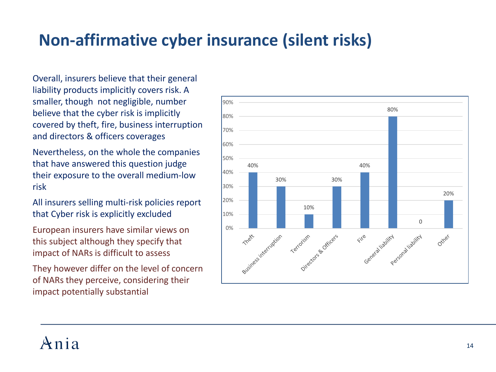# **Non-affirmative cyber insurance (silent risks)**

Overall, insurers believe that their general liability products implicitly covers risk. A smaller, though not negligible, number believe that the cyber risk is implicitly covered by theft, fire, business interruption and directors & officers coverages

Nevertheless, on the whole the companies that have answered this question judge their exposure to the overall medium-low risk

All insurers selling multi-risk policies report that Cyber risk is explicitly excluded

European insurers have similar views on this subject although they specify that impact of NARs is difficult to assess

They however differ on the level of concern of NARs they perceive, considering their impact potentially substantial

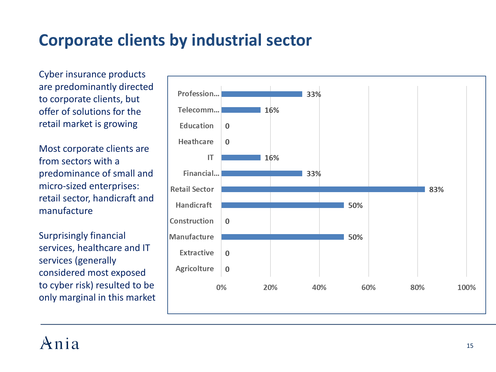# **Corporate clients by industrial sector**

Cyber insurance products are predominantly directed to corporate clients, but offer of solutions for the retail market is growing

Most corporate clients are from sectors with a predominance of small and micro-sized enterprises: retail sector, handicraft and manufacture

Surprisingly financial services, healthcare and IT services (generally considered most exposed to cyber risk) resulted to be only marginal in this market

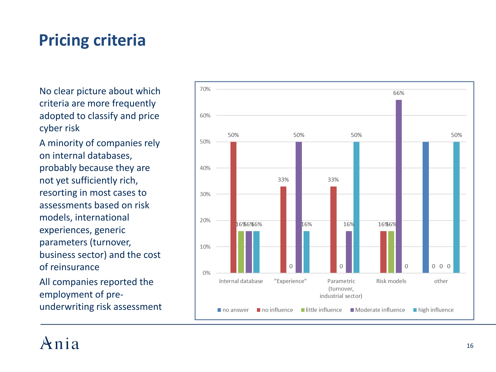## **Pricing criteria**

No clear picture about which criteria are more frequently adopted to classify and price cyber risk

A minority of companies rely on internal databases, probably because they are not yet sufficiently rich, resorting in most cases to assessments based on risk models, international experiences, generic parameters (turnover, business sector) and the cost of reinsurance

All companies reported the employment of pre underwriting risk assessment

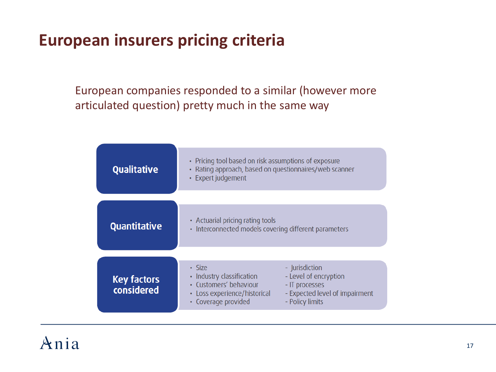# **European insurers pricing criteria**

European companies responded to a similar (however more articulated question) pretty much in the same way

| <b>Qualitative</b>               | • Pricing tool based on risk assumptions of exposure<br>Rating approach, based on questionnaires/web scanner<br>• Expert judgement                                                                                                              |
|----------------------------------|-------------------------------------------------------------------------------------------------------------------------------------------------------------------------------------------------------------------------------------------------|
| <b>Quantitative</b>              | • Actuarial pricing rating tools<br>Interconnected models covering different parameters<br>$\bullet$                                                                                                                                            |
| <b>Key factors</b><br>considered | $\cdot$ Size<br>- Jurisdiction<br>- Level of encryption<br>Industry classification<br>٠<br>• Customers' behaviour<br>- IT processes<br>- Expected level of impairment<br>• Loss experience/historical<br>• Coverage provided<br>- Policy limits |

### $Ani$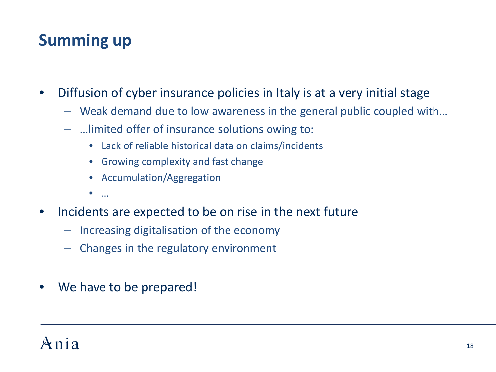# **Summing up**

- Diffusion of cyber insurance policies in Italy is at a very initial stage
	- Weak demand due to low awareness in the general public coupled with…
	- …limited offer of insurance solutions owing to:
		- Lack of reliable historical data on claims/incidents
		- Growing complexity and fast change
		- Accumulation/Aggregation
		- $\bullet$
- Incidents are expected to be on rise in the next future
	- Increasing digitalisation of the economy
	- Changes in the regulatory environment
- We have to be prepared!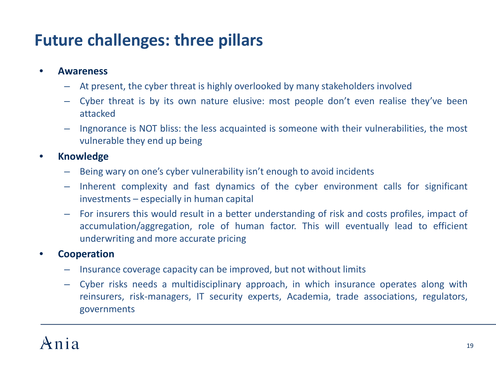## **Future challenges: three pillars**

### • **Awareness**

- At present, the cyber threat is highly overlooked by many stakeholders involved
- Cyber threat is by its own nature elusive: most people don't even realise they've been attacked
- Ingnorance is NOT bliss: the less acquainted is someone with their vulnerabilities, the most vulnerable they end up being

### • **Knowledge**

- Being wary on one's cyber vulnerability isn't enough to avoid incidents
- Inherent complexity and fast dynamics of the cyber environment calls for significant investments – especially in human capital
- For insurers this would result in a better understanding of risk and costs profiles, impact of accumulation/aggregation, role of human factor. This will eventually lead to efficient underwriting and more accurate pricing

### • **Cooperation**

- Insurance coverage capacity can be improved, but not without limits
- Cyber risks needs a multidisciplinary approach, in which insurance operates along with reinsurers, risk-managers, IT security experts, Academia, trade associations, regulators, governments